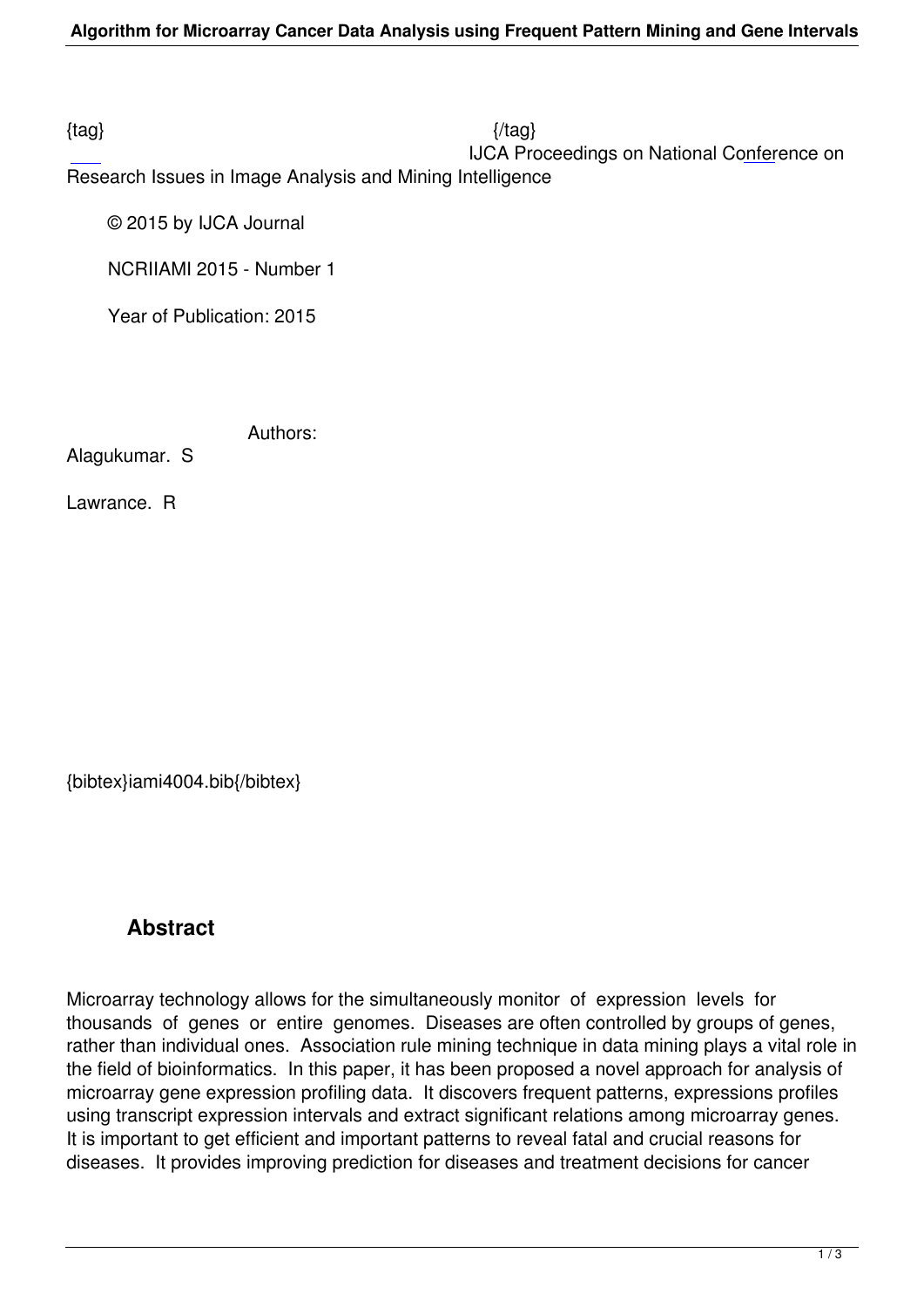IJCA Proceedings on National Conference on

Research Issues in Image Analysis and Mining Intelligence

© 2015 by IJCA Journal

NCRIIAMI 2015 - Number 1

Year of Publication: 2015

Authors:

Alagukumar. S

Lawrance. R

{bibtex}iami4004.bib{/bibtex}

## **Abstract**

Microarray technology allows for the simultaneously monitor of expression levels for thousands of genes or entire genomes. Diseases are often controlled by groups of genes, rather than individual ones. Association rule mining technique in data mining plays a vital role in the field of bioinformatics. In this paper, it has been proposed a novel approach for analysis of microarray gene expression profiling data. It discovers frequent patterns, expressions profiles using transcript expression intervals and extract significant relations among microarray genes. It is important to get efficient and important patterns to reveal fatal and crucial reasons for diseases. It provides improving prediction for diseases and treatment decisions for cancer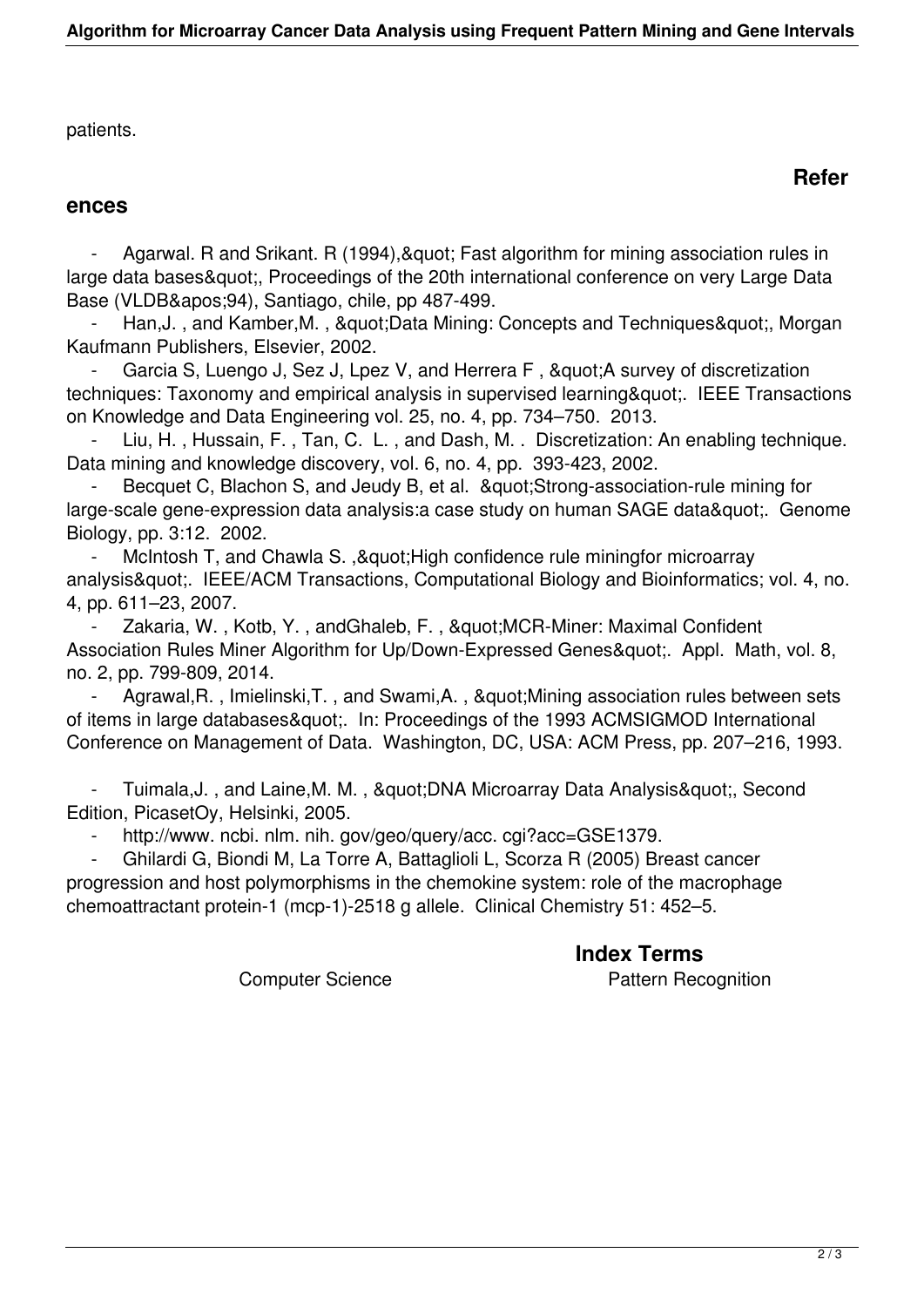patients.

#### **ences**

Agarwal. R and Srikant. R (1994), & quot; Fast algorithm for mining association rules in large data bases", Proceedings of the 20th international conference on very Large Data Base (VLDB'94), Santiago, chile, pp 487-499.

Han, J., and Kamber, M., & quot; Data Mining: Concepts and Techniques & quot;, Morgan Kaufmann Publishers, Elsevier, 2002.

Garcia S, Luengo J, Sez J, Lpez V, and Herrera F, " A survey of discretization techniques: Taxonomy and empirical analysis in supervised learning". IEEE Transactions on Knowledge and Data Engineering vol. 25, no. 4, pp. 734–750. 2013.

Liu, H., Hussain, F., Tan, C. L., and Dash, M. . Discretization: An enabling technique. Data mining and knowledge discovery, vol. 6, no. 4, pp. 393-423, 2002.

Becquet C, Blachon S, and Jeudy B, et al.  $\&$  quot; Strong-association-rule mining for large-scale gene-expression data analysis: a case study on human SAGE data & quot; Genome Biology, pp. 3:12. 2002.

McIntosh T, and Chawla S., & quot; High confidence rule miningfor microarray analysis". IEEE/ACM Transactions, Computational Biology and Bioinformatics; vol. 4, no. 4, pp. 611–23, 2007.

Zakaria, W., Kotb, Y., andGhaleb, F., " MCR-Miner: Maximal Confident Association Rules Miner Algorithm for Up/Down-Expressed Genes". Appl. Math, vol. 8, no. 2, pp. 799-809, 2014.

Agrawal,R., Imielinski,T., and Swami,A., "Mining association rules between sets of items in large databases". In: Proceedings of the 1993 ACMSIGMOD International Conference on Management of Data. Washington, DC, USA: ACM Press, pp. 207–216, 1993.

Tuimala, J., and Laine, M. M., & auot: DNA Microarray Data Analysis & quot:, Second Edition, PicasetOy, Helsinki, 2005.

http://www. ncbi. nlm. nih. gov/geo/query/acc. cgi?acc=GSE1379.

 - Ghilardi G, Biondi M, La Torre A, Battaglioli L, Scorza R (2005) Breast cancer progression and host polymorphisms in the chemokine system: role of the macrophage chemoattractant protein-1 (mcp-1)-2518 g allele. Clinical Chemistry 51: 452–5.

**Index Terms** 

#### Computer Science **Pattern Recognition**

### **Refer**